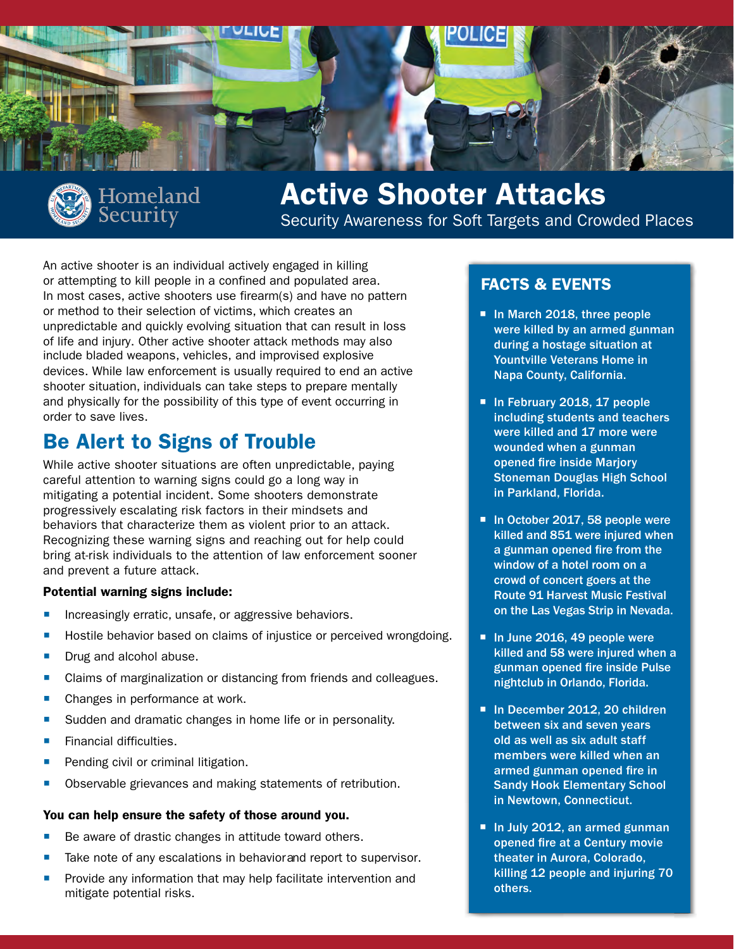



# Active Shooter Attacks

Security Awareness for Soft Targets and Crowded Places

An active shooter is an individual actively engaged in killing or attempting to kill people in a confined and populated area. In most cases, active shooters use firearm(s) and have no pattern or method to their selection of victims, which creates an unpredictable and quickly evolving situation that can result in loss of life and injury. Other active shooter attack methods may also include bladed weapons, vehicles, and improvised explosive devices. While law enforcement is usually required to end an active shooter situation, individuals can take steps to prepare mentally and physically for the possibility of this type of event occurring in order to save lives.

## Be Alert to Signs of Trouble

While active shooter situations are often unpredictable, paying careful attention to warning signs could go a long way in mitigating a potential incident. Some shooters demonstrate progressively escalating risk factors in their mindsets and behaviors that characterize them as violent prior to an attack. Recognizing these warning signs and reaching out for help could bring at-risk individuals to the attention of law enforcement sooner and prevent a future attack.

#### Potential warning signs include:

- **Increasingly erratic, unsafe, or aggressive behaviors.**
- Hostile behavior based on claims of injustice or perceived wrongdoing.
- Drug and alcohol abuse.
- **Claims of marginalization or distancing from friends and colleagues.**
- Changes in performance at work.
- Sudden and dramatic changes in home life or in personality.
- Financial difficulties.
- Pending civil or criminal litigation.
- Observable grievances and making statements of retribution.

#### You can help ensure the safety of those around you.

- Be aware of drastic changes in attitude toward others.
- Take note of any escalations in behavior and report to supervisor.
- Provide any information that may help facilitate intervention and mitigate potential risks.

### FACTS & EVENTS

- In March 2018, three people were killed by an armed gunman during a hostage situation at Yountville Veterans Home in Napa County, California.
- In February 2018, 17 people including students and teachers were killed and 17 more were wounded when a gunman opened fire inside Marjory Stoneman Douglas High School in Parkland, Florida.
- In October 2017, 58 people were killed and 851 were injured when a gunman opened fire from the window of a hotel room on a crowd of concert goers at the Route 91 Harvest Music Festival on the Las Vegas Strip in Nevada.
- In June 2016, 49 people were killed and 58 were injured when a gunman opened fire inside Pulse nightclub in Orlando, Florida.
- In December 2012, 20 children between six and seven years old as well as six adult staff members were killed when an armed gunman opened fire in Sandy Hook Elementary School in Newtown, Connecticut.
- In July 2012, an armed gunman opened fire at a Century movie theater in Aurora, Colorado, killing 12 people and injuring 70 others.